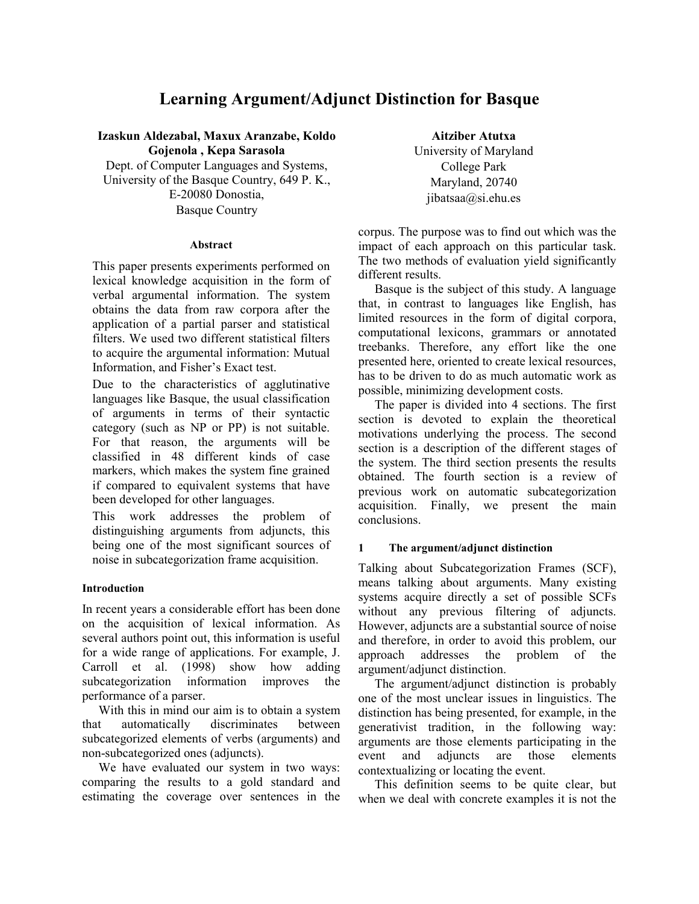# **Learning Argument/Adjunct Distinction for Basque**

**Izaskun Aldezabal, Maxux Aranzabe, Koldo Gojenola , Kepa Sarasola**  Dept. of Computer Languages and Systems, University of the Basque Country, 649 P. K., E-20080 Donostia,

Basque Country

#### **Abstract**

This paper presents experiments performed on lexical knowledge acquisition in the form of verbal argumental information. The system obtains the data from raw corpora after the application of a partial parser and statistical filters. We used two different statistical filters to acquire the argumental information: Mutual Information, and Fisher's Exact test.

Due to the characteristics of agglutinative languages like Basque, the usual classification of arguments in terms of their syntactic category (such as NP or PP) is not suitable. For that reason, the arguments will be classified in 48 different kinds of case markers, which makes the system fine grained if compared to equivalent systems that have been developed for other languages.

This work addresses the problem of distinguishing arguments from adjuncts, this being one of the most significant sources of noise in subcategorization frame acquisition.

#### **Introduction**

In recent years a considerable effort has been done on the acquisition of lexical information. As several authors point out, this information is useful for a wide range of applications. For example, J. Carroll et al. (1998) show how adding subcategorization information improves the performance of a parser.

With this in mind our aim is to obtain a system that automatically discriminates between subcategorized elements of verbs (arguments) and non-subcategorized ones (adjuncts).

We have evaluated our system in two ways: comparing the results to a gold standard and estimating the coverage over sentences in the

**Aitziber Atutxa**  University of Maryland College Park Maryland, 20740 jibatsaa@si.ehu.es

corpus. The purpose was to find out which was the impact of each approach on this particular task. The two methods of evaluation yield significantly different results.

Basque is the subject of this study. A language that, in contrast to languages like English, has limited resources in the form of digital corpora, computational lexicons, grammars or annotated treebanks. Therefore, any effort like the one presented here, oriented to create lexical resources, has to be driven to do as much automatic work as possible, minimizing development costs.

The paper is divided into 4 sections. The first section is devoted to explain the theoretical motivations underlying the process. The second section is a description of the different stages of the system. The third section presents the results obtained. The fourth section is a review of previous work on automatic subcategorization acquisition. Finally, we present the main conclusions.

#### **1 The argument/adjunct distinction**

Talking about Subcategorization Frames (SCF), means talking about arguments. Many existing systems acquire directly a set of possible SCFs without any previous filtering of adjuncts. However, adjuncts are a substantial source of noise and therefore, in order to avoid this problem, our approach addresses the problem of the argument/adjunct distinction.

The argument/adjunct distinction is probably one of the most unclear issues in linguistics. The distinction has being presented, for example, in the generativist tradition, in the following way: arguments are those elements participating in the event and adjuncts are those elements contextualizing or locating the event.

This definition seems to be quite clear, but when we deal with concrete examples it is not the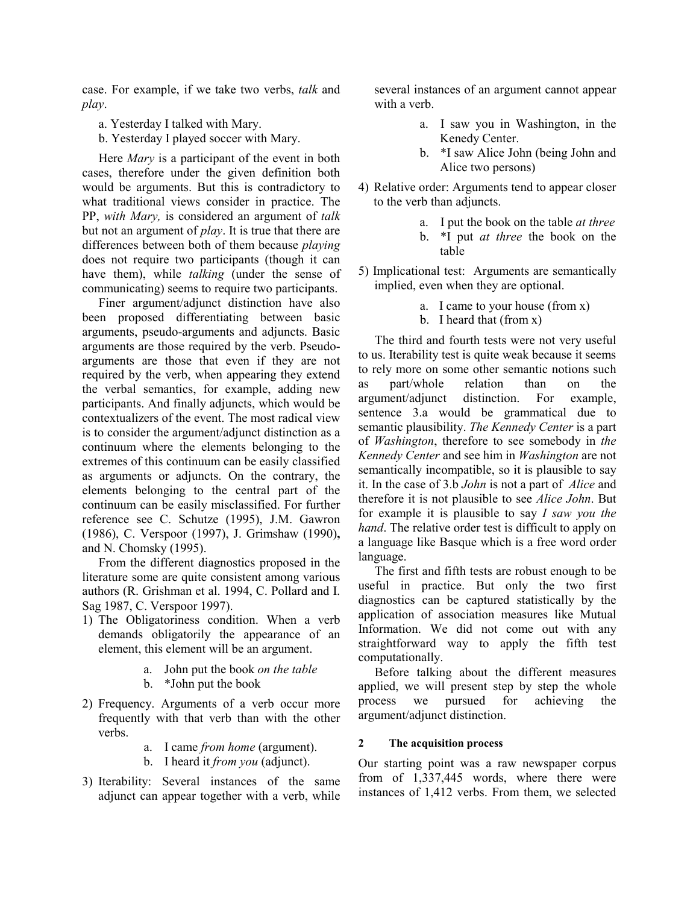case. For example, if we take two verbs, *talk* and *play*.

- a. Yesterday I talked with Mary.
- b. Yesterday I played soccer with Mary.

Here *Mary* is a participant of the event in both cases, therefore under the given definition both would be arguments. But this is contradictory to what traditional views consider in practice. The PP, *with Mary,* is considered an argument of *talk* but not an argument of *play*. It is true that there are differences between both of them because *playing*  does not require two participants (though it can have them), while *talking* (under the sense of communicating) seems to require two participants.

Finer argument/adjunct distinction have also been proposed differentiating between basic arguments, pseudo-arguments and adjuncts. Basic arguments are those required by the verb. Pseudoarguments are those that even if they are not required by the verb, when appearing they extend the verbal semantics, for example, adding new participants. And finally adjuncts, which would be contextualizers of the event. The most radical view is to consider the argument/adjunct distinction as a continuum where the elements belonging to the extremes of this continuum can be easily classified as arguments or adjuncts. On the contrary, the elements belonging to the central part of the continuum can be easily misclassified. For further reference see C. Schutze (1995), J.M. Gawron (1986), C. Verspoor (1997), J. Grimshaw (1990)**,**  and N. Chomsky (1995).

From the different diagnostics proposed in the literature some are quite consistent among various authors (R. Grishman et al. 1994, C. Pollard and I. Sag 1987, C. Verspoor 1997).

- 1) The Obligatoriness condition. When a verb demands obligatorily the appearance of an element, this element will be an argument.
	- a. John put the book *on the table*
	- b. \*John put the book
- 2) Frequency. Arguments of a verb occur more frequently with that verb than with the other verbs.
	- a. I came *from home* (argument).
	- b. I heard it *from you* (adjunct).
- 3) Iterability: Several instances of the same adjunct can appear together with a verb, while

several instances of an argument cannot appear with a verb.

- a. I saw you in Washington, in the Kenedy Center.
- b. \*I saw Alice John (being John and Alice two persons)
- 4) Relative order: Arguments tend to appear closer to the verb than adjuncts.
	- a. I put the book on the table *at three*
	- b. \*I put *at three* the book on the table
- 5) Implicational test: Arguments are semantically implied, even when they are optional.
	- a. I came to your house (from x)
	- b. I heard that (from x)

The third and fourth tests were not very useful to us. Iterability test is quite weak because it seems to rely more on some other semantic notions such as part/whole relation than on the argument/adjunct distinction. For example, sentence 3.a would be grammatical due to semantic plausibility. *The Kennedy Center* is a part of *Washington*, therefore to see somebody in *the Kennedy Center* and see him in *Washington* are not semantically incompatible, so it is plausible to say it. In the case of 3.b *John* is not a part of *Alice* and therefore it is not plausible to see *Alice John*. But for example it is plausible to say *I saw you the hand*. The relative order test is difficult to apply on a language like Basque which is a free word order language.

The first and fifth tests are robust enough to be useful in practice. But only the two first diagnostics can be captured statistically by the application of association measures like Mutual Information. We did not come out with any straightforward way to apply the fifth test computationally.

Before talking about the different measures applied, we will present step by step the whole process we pursued for achieving the argument/adjunct distinction.

#### **2 The acquisition process**

Our starting point was a raw newspaper corpus from of 1,337,445 words, where there were instances of 1,412 verbs. From them, we selected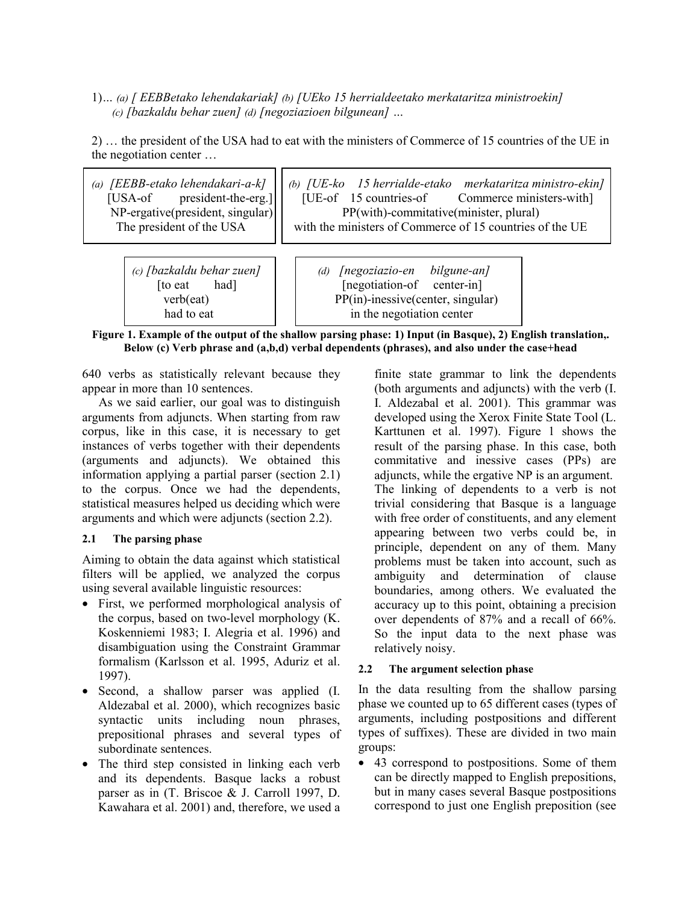1)*… (a) [ EEBBetako lehendakariak] (b) [UEko 15 herrialdeetako merkataritza ministroekin] (c) [bazkaldu behar zuen] (d) [negoziazioen bilgunean] …* 

ז ר

2) … the president of the USA had to eat with the ministers of Commerce of 15 countries of the UE in the negotiation center …

| (a) [EEBB-etako lehendakari-a-k]<br>president-the-erg.]<br>[USA-of<br>$NP\text{-}ergative(president, singular)$<br>The president of the USA | (b) [UE-ko 15 herrialde-etako merkataritza ministro-ekin]<br>[UE-of 15 countries-of Commerce ministers-with]<br>PP(with)-commitative(minister, plural)<br>with the ministers of Commerce of 15 countries of the UE |  |  |
|---------------------------------------------------------------------------------------------------------------------------------------------|--------------------------------------------------------------------------------------------------------------------------------------------------------------------------------------------------------------------|--|--|
| (c) [bazkaldu behar zuen]                                                                                                                   | [negoziazio-en bilgune-an]                                                                                                                                                                                         |  |  |
| had]                                                                                                                                        | (d)                                                                                                                                                                                                                |  |  |
| to eat                                                                                                                                      | [negotiation-of center-in]                                                                                                                                                                                         |  |  |
| verb(eat)                                                                                                                                   | PP(in)-inessive(center, singular)                                                                                                                                                                                  |  |  |
| had to eat                                                                                                                                  | in the negotiation center                                                                                                                                                                                          |  |  |

**Figure 1. Example of the output of the shallow parsing phase: 1) Input (in Basque), 2) English translation,. Below (c) Verb phrase and (a,b,d) verbal dependents (phrases), and also under the case+head** 

640 verbs as statistically relevant because they appear in more than 10 sentences.

As we said earlier, our goal was to distinguish arguments from adjuncts. When starting from raw corpus, like in this case, it is necessary to get instances of verbs together with their dependents (arguments and adjuncts). We obtained this information applying a partial parser (section 2.1) to the corpus. Once we had the dependents, statistical measures helped us deciding which were arguments and which were adjuncts (section 2.2).

## **2.1 The parsing phase**

Aiming to obtain the data against which statistical filters will be applied, we analyzed the corpus using several available linguistic resources:

- First, we performed morphological analysis of the corpus, based on two-level morphology (K. Koskenniemi 1983; I. Alegria et al. 1996) and disambiguation using the Constraint Grammar formalism (Karlsson et al. 1995, Aduriz et al. 1997).
- Second, a shallow parser was applied (I. Aldezabal et al. 2000), which recognizes basic syntactic units including noun phrases, prepositional phrases and several types of subordinate sentences.
- The third step consisted in linking each verb and its dependents. Basque lacks a robust parser as in (T. Briscoe & J. Carroll 1997, D. Kawahara et al. 2001) and, therefore, we used a

finite state grammar to link the dependents (both arguments and adjuncts) with the verb (I. I. Aldezabal et al. 2001). This grammar was developed using the Xerox Finite State Tool (L. Karttunen et al. 1997). Figure 1 shows the result of the parsing phase. In this case, both commitative and inessive cases (PPs) are adjuncts, while the ergative NP is an argument. The linking of dependents to a verb is not trivial considering that Basque is a language with free order of constituents, and any element appearing between two verbs could be, in principle, dependent on any of them. Many problems must be taken into account, such as ambiguity and determination of clause boundaries, among others. We evaluated the accuracy up to this point, obtaining a precision over dependents of 87% and a recall of 66%. So the input data to the next phase was relatively noisy.

# **2.2 The argument selection phase**

In the data resulting from the shallow parsing phase we counted up to 65 different cases (types of arguments, including postpositions and different types of suffixes). These are divided in two main groups:

• 43 correspond to postpositions. Some of them can be directly mapped to English prepositions, but in many cases several Basque postpositions correspond to just one English preposition (see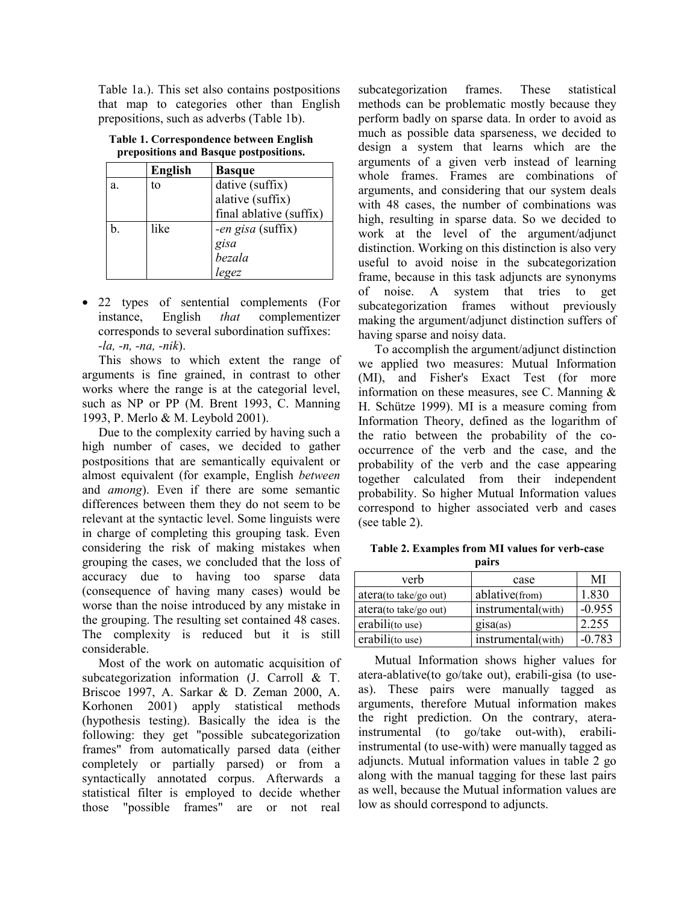Table 1a.). This set also contains postpositions that map to categories other than English prepositions, such as adverbs (Table 1b).

|    | English | <b>Basque</b>           |
|----|---------|-------------------------|
| a. | to      | dative (suffix)         |
|    |         | alative (suffix)        |
|    |         | final ablative (suffix) |
| b. | like    | -en gisa (suffix)       |
|    |         | gisa<br>bezala          |
|    |         |                         |
|    |         | legez                   |

**Table 1. Correspondence between English prepositions and Basque postpositions.** 

• 22 types of sentential complements (For instance, English *that* complementizer corresponds to several subordination suffixes: *-la, -n, -na, -nik*).

This shows to which extent the range of arguments is fine grained, in contrast to other works where the range is at the categorial level, such as NP or PP (M. Brent 1993, C. Manning 1993, P. Merlo & M. Leybold 2001).

Due to the complexity carried by having such a high number of cases, we decided to gather postpositions that are semantically equivalent or almost equivalent (for example, English *between* and *among*). Even if there are some semantic differences between them they do not seem to be relevant at the syntactic level. Some linguists were in charge of completing this grouping task. Even considering the risk of making mistakes when grouping the cases, we concluded that the loss of accuracy due to having too sparse data (consequence of having many cases) would be worse than the noise introduced by any mistake in the grouping. The resulting set contained 48 cases. The complexity is reduced but it is still considerable.

Most of the work on automatic acquisition of subcategorization information (J. Carroll & T. Briscoe 1997, A. Sarkar & D. Zeman 2000, A. Korhonen 2001) apply statistical methods (hypothesis testing). Basically the idea is the following: they get "possible subcategorization frames" from automatically parsed data (either completely or partially parsed) or from a syntactically annotated corpus. Afterwards a statistical filter is employed to decide whether those "possible frames" are or not real

subcategorization frames. These statistical methods can be problematic mostly because they perform badly on sparse data. In order to avoid as much as possible data sparseness, we decided to design a system that learns which are the arguments of a given verb instead of learning whole frames. Frames are combinations of arguments, and considering that our system deals with 48 cases, the number of combinations was high, resulting in sparse data. So we decided to work at the level of the argument/adjunct distinction. Working on this distinction is also very useful to avoid noise in the subcategorization frame, because in this task adjuncts are synonyms of noise. A system that tries to get subcategorization frames without previously making the argument/adjunct distinction suffers of having sparse and noisy data.

To accomplish the argument/adjunct distinction we applied two measures: Mutual Information (MI), and Fisher's Exact Test (for more information on these measures, see C. Manning  $\&$ H. Schütze 1999). MI is a measure coming from Information Theory, defined as the logarithm of the ratio between the probability of the cooccurrence of the verb and the case, and the probability of the verb and the case appearing together calculated from their independent probability. So higher Mutual Information values correspond to higher associated verb and cases (see table 2).

**Table 2. Examples from MI values for verb-case pairs** 

| verb                             | case               | MI       |
|----------------------------------|--------------------|----------|
| atera(to take/go out)            | ablative(from)     | 1.830    |
| $\arctan(\text{to take/go out})$ | instrumental(with) | $-0.955$ |
| erabili(to use)                  | qisa(as)           | 2.255    |
| erabili(to use)                  | instrumental(with) | $-0.783$ |

Mutual Information shows higher values for atera-ablative(to go/take out), erabili-gisa (to useas). These pairs were manually tagged as arguments, therefore Mutual information makes the right prediction. On the contrary, aterainstrumental (to go/take out-with), erabiliinstrumental (to use-with) were manually tagged as adjuncts. Mutual information values in table 2 go along with the manual tagging for these last pairs as well, because the Mutual information values are low as should correspond to adjuncts.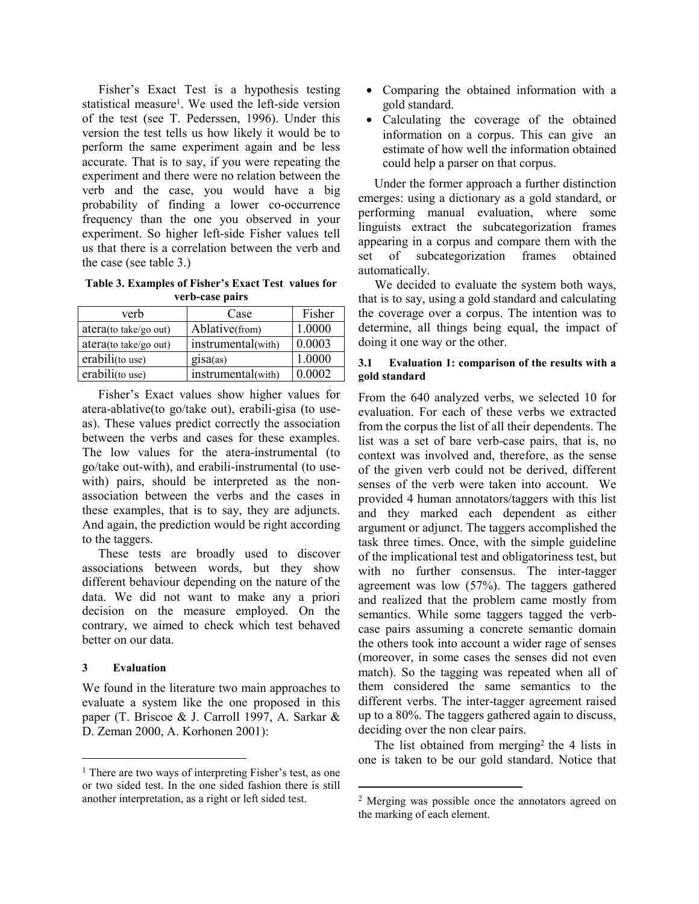Fisher's Exact Test is a hypothesis testing statistical measure1. We used the left-side version of the test (see T. Pederssen, 1996). Under this version the test tells us how likely it would be to perform the same experiment again and be less accurate. That is to say, if you were repeating the experiment and there were no relation between the verb and the case, you would have a big probability of finding a lower co-occurrence frequency than the one you observed in your experiment. So higher left-side Fisher values tell us that there is a correlation between the verb and the case (see table 3.)

**Table 3. Examples of Fisher's Exact Test values for verb-case pairs** 

| verb                   | Case               | Fisher |
|------------------------|--------------------|--------|
| atera (to take/go out) | Ablative(from)     | 1.0000 |
| atera(to take/go out)  | instrumental(with) | 0.0003 |
| erabili(to use)        | gisa(as)           | 1.0000 |
| erabili(to use)        | instrumental(with) | 0.0002 |

Fisher's Exact values show higher values for atera-ablative(to go/take out), erabili-gisa (to useas). These values predict correctly the association between the verbs and cases for these examples. The low values for the atera-instrumental (to go/take out-with), and erabili-instrumental (to usewith) pairs, should be interpreted as the nonassociation between the verbs and the cases in these examples, that is to say, they are adjuncts. And again, the prediction would be right according to the taggers.

These tests are broadly used to discover associations between words, but they show different behaviour depending on the nature of the data. We did not want to make any a priori decision on the measure employed. On the contrary, we aimed to check which test behaved better on our data.

#### **3 Evaluation**

l

We found in the literature two main approaches to evaluate a system like the one proposed in this paper (T. Briscoe & J. Carroll 1997, A. Sarkar & D. Zeman 2000, A. Korhonen 2001):

- Comparing the obtained information with a gold standard.
- Calculating the coverage of the obtained information on a corpus. This can give an estimate of how well the information obtained could help a parser on that corpus.

Under the former approach a further distinction emerges: using a dictionary as a gold standard, or performing manual evaluation, where some linguists extract the subcategorization frames appearing in a corpus and compare them with the set of subcategorization frames obtained automatically.

We decided to evaluate the system both ways, that is to say, using a gold standard and calculating the coverage over a corpus. The intention was to determine, all things being equal, the impact of doing it one way or the other.

#### **3.1 Evaluation 1: comparison of the results with a gold standard**

From the 640 analyzed verbs, we selected 10 for evaluation. For each of these verbs we extracted from the corpus the list of all their dependents. The list was a set of bare verb-case pairs, that is, no context was involved and, therefore, as the sense of the given verb could not be derived, different senses of the verb were taken into account. We provided 4 human annotators/taggers with this list and they marked each dependent as either argument or adjunct. The taggers accomplished the task three times. Once, with the simple guideline of the implicational test and obligatoriness test, but with no further consensus. The inter-tagger agreement was low (57%). The taggers gathered and realized that the problem came mostly from semantics. While some taggers tagged the verbcase pairs assuming a concrete semantic domain the others took into account a wider rage of senses (moreover, in some cases the senses did not even match). So the tagging was repeated when all of them considered the same semantics to the different verbs. The inter-tagger agreement raised up to a 80%. The taggers gathered again to discuss, deciding over the non clear pairs.

The list obtained from merging<sup>2</sup> the 4 lists in one is taken to be our gold standard. Notice that

l

<sup>&</sup>lt;sup>1</sup> There are two ways of interpreting Fisher's test, as one or two sided test. In the one sided fashion there is still another interpretation, as a right or left sided test.

<sup>2</sup> Merging was possible once the annotators agreed on the marking of each element.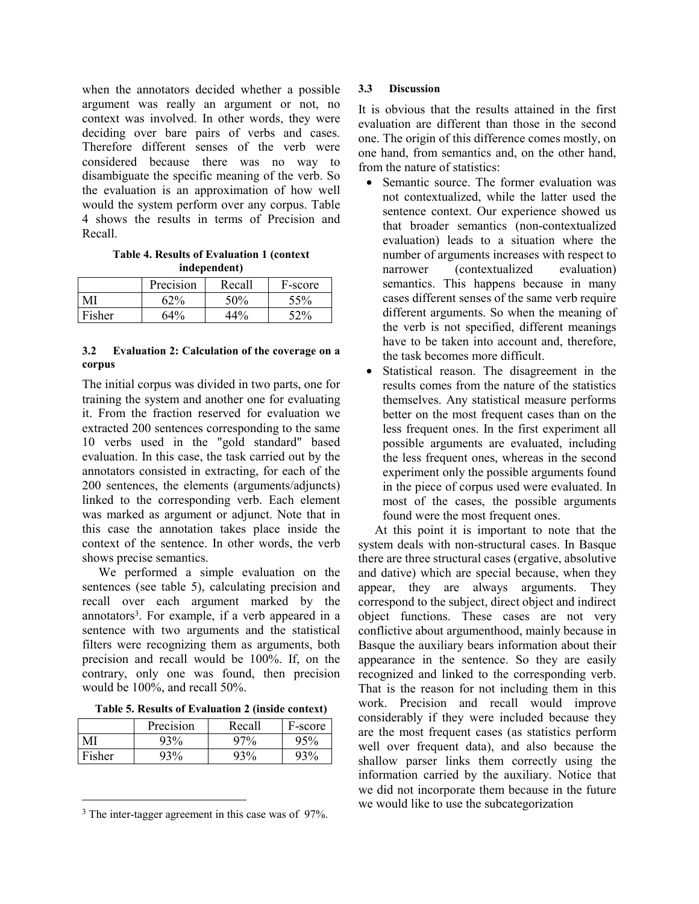when the annotators decided whether a possible argument was really an argument or not, no context was involved. In other words, they were deciding over bare pairs of verbs and cases. Therefore different senses of the verb were considered because there was no way to disambiguate the specific meaning of the verb. So the evaluation is an approximation of how well would the system perform over any corpus. Table 4 shows the results in terms of Precision and Recall.

**Table 4. Results of Evaluation 1 (context independent)** 

|        | Precision | Recall | F-score |
|--------|-----------|--------|---------|
| MI     | 62%       | 50%    | 55%     |
| Fisher | 64%       | 44%    | 52%     |

#### **3.2 Evaluation 2: Calculation of the coverage on a corpus**

The initial corpus was divided in two parts, one for training the system and another one for evaluating it. From the fraction reserved for evaluation we extracted 200 sentences corresponding to the same 10 verbs used in the "gold standard" based evaluation. In this case, the task carried out by the annotators consisted in extracting, for each of the 200 sentences, the elements (arguments/adjuncts) linked to the corresponding verb. Each element was marked as argument or adjunct. Note that in this case the annotation takes place inside the context of the sentence. In other words, the verb shows precise semantics.

We performed a simple evaluation on the sentences (see table 5), calculating precision and recall over each argument marked by the annotators3. For example, if a verb appeared in a sentence with two arguments and the statistical filters were recognizing them as arguments, both precision and recall would be 100%. If, on the contrary, only one was found, then precision would be 100%, and recall 50%.

**Table 5. Results of Evaluation 2 (inside context)** 

|        | Precision | Recall | F-score |
|--------|-----------|--------|---------|
| MI     | 93%       | 97%    | 95%     |
| Fisher | 020       | 93%    | 93%     |

<sup>3</sup> The inter-tagger agreement in this case was of 97%.

 $\overline{a}$ 

#### **3.3 Discussion**

It is obvious that the results attained in the first evaluation are different than those in the second one. The origin of this difference comes mostly, on one hand, from semantics and, on the other hand, from the nature of statistics:

- Semantic source. The former evaluation was not contextualized, while the latter used the sentence context. Our experience showed us that broader semantics (non-contextualized evaluation) leads to a situation where the number of arguments increases with respect to narrower (contextualized evaluation) semantics. This happens because in many cases different senses of the same verb require different arguments. So when the meaning of the verb is not specified, different meanings have to be taken into account and, therefore, the task becomes more difficult.
- Statistical reason. The disagreement in the results comes from the nature of the statistics themselves. Any statistical measure performs better on the most frequent cases than on the less frequent ones. In the first experiment all possible arguments are evaluated, including the less frequent ones, whereas in the second experiment only the possible arguments found in the piece of corpus used were evaluated. In most of the cases, the possible arguments found were the most frequent ones.

At this point it is important to note that the system deals with non-structural cases. In Basque there are three structural cases (ergative, absolutive and dative) which are special because, when they appear, they are always arguments. They correspond to the subject, direct object and indirect object functions. These cases are not very conflictive about argumenthood, mainly because in Basque the auxiliary bears information about their appearance in the sentence. So they are easily recognized and linked to the corresponding verb. That is the reason for not including them in this work. Precision and recall would improve considerably if they were included because they are the most frequent cases (as statistics perform well over frequent data), and also because the shallow parser links them correctly using the information carried by the auxiliary. Notice that we did not incorporate them because in the future we would like to use the subcategorization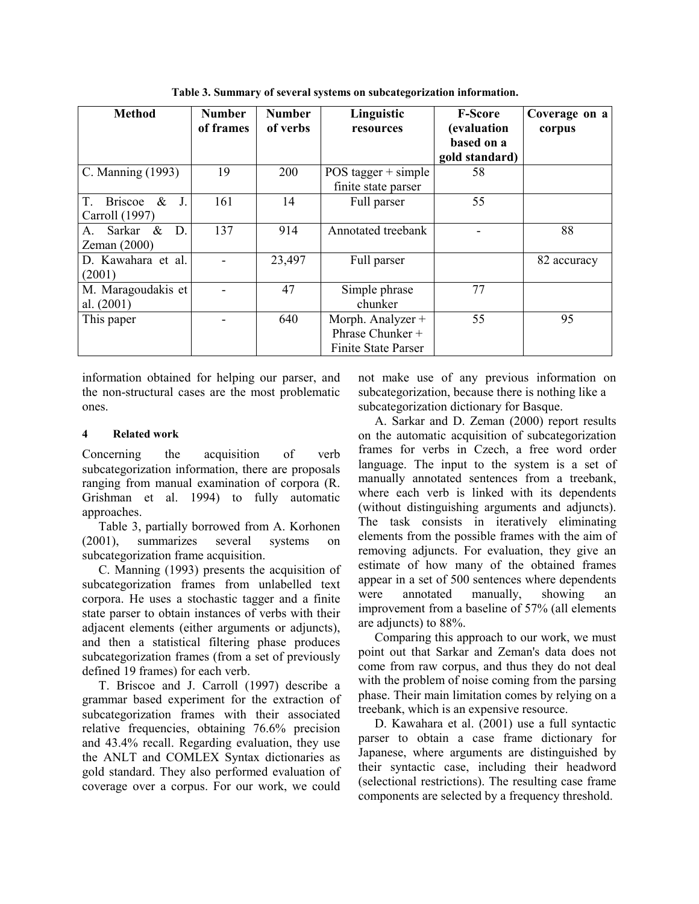| <b>Method</b>                               | <b>Number</b><br>of frames | <b>Number</b><br>of verbs | Linguistic<br>resources    | <b>F-Score</b><br>(evaluation | Coverage on a<br>corpus |
|---------------------------------------------|----------------------------|---------------------------|----------------------------|-------------------------------|-------------------------|
|                                             |                            |                           |                            | based on a                    |                         |
|                                             |                            |                           |                            | gold standard)                |                         |
| C. Manning (1993)                           | 19                         | 200                       | POS tagger $+$ simple      | 58                            |                         |
|                                             |                            |                           | finite state parser        |                               |                         |
| $\&$<br>J.<br>$T_{\odot}$<br><b>Briscoe</b> | 161                        | 14                        | Full parser                | 55                            |                         |
| Carroll (1997)                              |                            |                           |                            |                               |                         |
| D.<br>Sarkar<br>&<br>А.                     | 137                        | 914                       | Annotated treebank         |                               | 88                      |
| Zeman $(2000)$                              |                            |                           |                            |                               |                         |
| D. Kawahara et al.                          |                            | 23,497                    | Full parser                |                               | 82 accuracy             |
| (2001)                                      |                            |                           |                            |                               |                         |
| M. Maragoudakis et                          |                            | 47                        | Simple phrase              | 77                            |                         |
| al. $(2001)$                                |                            |                           | chunker                    |                               |                         |
| This paper                                  |                            | 640                       | Morph. Analyzer +          | 55                            | 95                      |
|                                             |                            |                           | Phrase Chunker +           |                               |                         |
|                                             |                            |                           | <b>Finite State Parser</b> |                               |                         |

**Table 3. Summary of several systems on subcategorization information.** 

information obtained for helping our parser, and the non-structural cases are the most problematic ones.

#### **4 Related work**

Concerning the acquisition of verb subcategorization information, there are proposals ranging from manual examination of corpora (R. Grishman et al. 1994) to fully automatic approaches.

Table 3, partially borrowed from A. Korhonen (2001), summarizes several systems on subcategorization frame acquisition.

C. Manning (1993) presents the acquisition of subcategorization frames from unlabelled text corpora. He uses a stochastic tagger and a finite state parser to obtain instances of verbs with their adjacent elements (either arguments or adjuncts), and then a statistical filtering phase produces subcategorization frames (from a set of previously defined 19 frames) for each verb.

T. Briscoe and J. Carroll (1997) describe a grammar based experiment for the extraction of subcategorization frames with their associated relative frequencies, obtaining 76.6% precision and 43.4% recall. Regarding evaluation, they use the ANLT and COMLEX Syntax dictionaries as gold standard. They also performed evaluation of coverage over a corpus. For our work, we could

not make use of any previous information on subcategorization, because there is nothing like a subcategorization dictionary for Basque.

A. Sarkar and D. Zeman (2000) report results on the automatic acquisition of subcategorization frames for verbs in Czech, a free word order language. The input to the system is a set of manually annotated sentences from a treebank, where each verb is linked with its dependents (without distinguishing arguments and adjuncts). The task consists in iteratively eliminating elements from the possible frames with the aim of removing adjuncts. For evaluation, they give an estimate of how many of the obtained frames appear in a set of 500 sentences where dependents were annotated manually, showing an improvement from a baseline of 57% (all elements are adjuncts) to 88%.

Comparing this approach to our work, we must point out that Sarkar and Zeman's data does not come from raw corpus, and thus they do not deal with the problem of noise coming from the parsing phase. Their main limitation comes by relying on a treebank, which is an expensive resource.

D. Kawahara et al. (2001) use a full syntactic parser to obtain a case frame dictionary for Japanese, where arguments are distinguished by their syntactic case, including their headword (selectional restrictions). The resulting case frame components are selected by a frequency threshold.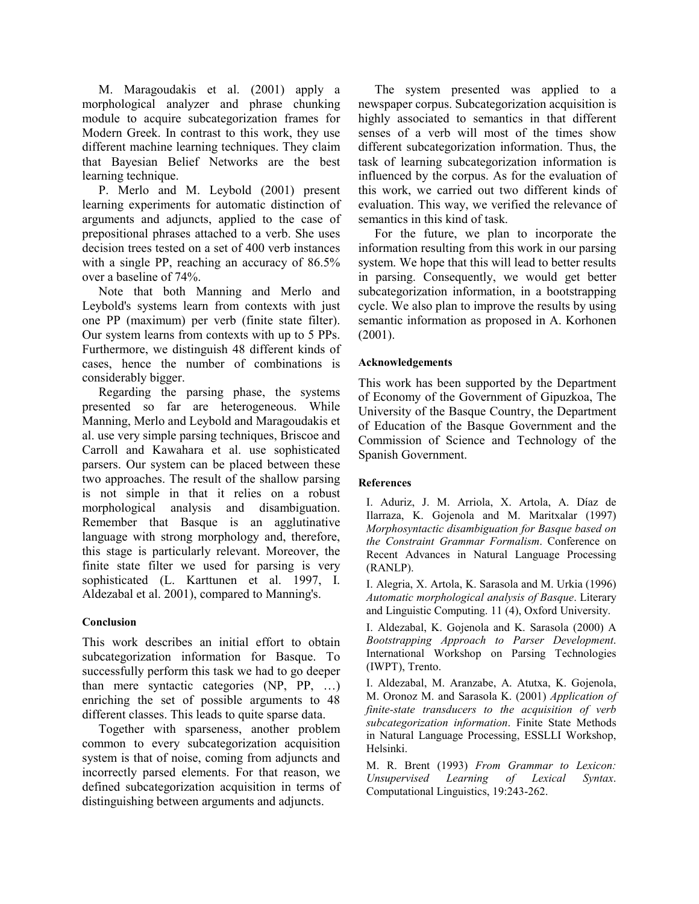M. Maragoudakis et al. (2001) apply a morphological analyzer and phrase chunking module to acquire subcategorization frames for Modern Greek. In contrast to this work, they use different machine learning techniques. They claim that Bayesian Belief Networks are the best learning technique.

P. Merlo and M. Leybold (2001) present learning experiments for automatic distinction of arguments and adjuncts, applied to the case of prepositional phrases attached to a verb. She uses decision trees tested on a set of 400 verb instances with a single PP, reaching an accuracy of 86.5% over a baseline of 74%.

Note that both Manning and Merlo and Leybold's systems learn from contexts with just one PP (maximum) per verb (finite state filter). Our system learns from contexts with up to 5 PPs. Furthermore, we distinguish 48 different kinds of cases, hence the number of combinations is considerably bigger.

Regarding the parsing phase, the systems presented so far are heterogeneous. While Manning, Merlo and Leybold and Maragoudakis et al. use very simple parsing techniques, Briscoe and Carroll and Kawahara et al. use sophisticated parsers. Our system can be placed between these two approaches. The result of the shallow parsing is not simple in that it relies on a robust morphological analysis and disambiguation. Remember that Basque is an agglutinative language with strong morphology and, therefore, this stage is particularly relevant. Moreover, the finite state filter we used for parsing is very sophisticated (L. Karttunen et al. 1997, I. Aldezabal et al. 2001), compared to Manning's.

## **Conclusion**

This work describes an initial effort to obtain subcategorization information for Basque. To successfully perform this task we had to go deeper than mere syntactic categories (NP, PP, …) enriching the set of possible arguments to 48 different classes. This leads to quite sparse data.

Together with sparseness, another problem common to every subcategorization acquisition system is that of noise, coming from adjuncts and incorrectly parsed elements. For that reason, we defined subcategorization acquisition in terms of distinguishing between arguments and adjuncts.

The system presented was applied to a newspaper corpus. Subcategorization acquisition is highly associated to semantics in that different senses of a verb will most of the times show different subcategorization information. Thus, the task of learning subcategorization information is influenced by the corpus. As for the evaluation of this work, we carried out two different kinds of evaluation. This way, we verified the relevance of semantics in this kind of task.

For the future, we plan to incorporate the information resulting from this work in our parsing system. We hope that this will lead to better results in parsing. Consequently, we would get better subcategorization information, in a bootstrapping cycle. We also plan to improve the results by using semantic information as proposed in A. Korhonen (2001).

#### **Acknowledgements**

This work has been supported by the Department of Economy of the Government of Gipuzkoa, The University of the Basque Country, the Department of Education of the Basque Government and the Commission of Science and Technology of the Spanish Government.

#### **References**

I. Aduriz, J. M. Arriola, X. Artola, A. Díaz de Ilarraza, K. Gojenola and M. Maritxalar (1997) *Morphosyntactic disambiguation for Basque based on the Constraint Grammar Formalism*. Conference on Recent Advances in Natural Language Processing (RANLP).

I. Alegria, X. Artola, K. Sarasola and M. Urkia (1996) *Automatic morphological analysis of Basque*. Literary and Linguistic Computing. 11 (4), Oxford University.

I. Aldezabal, K. Gojenola and K. Sarasola (2000) A *Bootstrapping Approach to Parser Development*. International Workshop on Parsing Technologies (IWPT), Trento.

I. Aldezabal, M. Aranzabe, A. Atutxa, K. Gojenola, M. Oronoz M. and Sarasola K. (2001) *Application of finite-state transducers to the acquisition of verb subcategorization information*. Finite State Methods in Natural Language Processing, ESSLLI Workshop, Helsinki.

M. R. Brent (1993) *From Grammar to Lexicon: Unsupervised Learning of Lexical Syntax*. Computational Linguistics, 19:243-262.